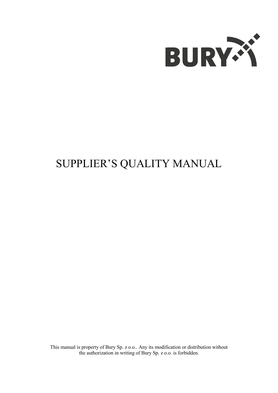

# SUPPLIER'S QUALITY MANUAL

This manual is property of Bury Sp. z o.o.. Any its modification or distribution without the authorization in writing of Bury Sp. z o.o. is forbidden.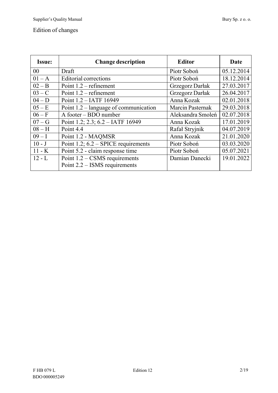# Edition of changes

| <b>Issue:</b>  | <b>Change description</b>                                          | <b>Editor</b>     | Date       |
|----------------|--------------------------------------------------------------------|-------------------|------------|
| 0 <sub>0</sub> | Draft                                                              | Piotr Soboń       | 05.12.2014 |
| $01 - A$       | <b>Editorial corrections</b>                                       | Piotr Soboń       | 18.12.2014 |
| $02 - B$       | Point $1.2$ – refinement                                           | Grzegorz Darłak   | 27.03.2017 |
| $03 - C$       | Point $1.2$ – refinement                                           | Grzegorz Darłak   | 26.04.2017 |
| $04-D$         | Point 1.2 - IATF 16949                                             | Anna Kozak        | 02.01.2018 |
| $05 - E$       | Point $1.2$ – language of communication                            | Marcin Pasternak  | 29.03.2018 |
| $06 - F$       | A footer – BDO number                                              | Aleksandra Smoleń | 02.07.2018 |
| $07-G$         | Point 1.2; 2.3; $6.2 - IATF$ 16949                                 | Anna Kozak        | 17.01.2019 |
| $08 - H$       | Point 4.4                                                          | Rafał Stryjnik    | 04.07.2019 |
| $09 - I$       | Point 1.2 - MAQMSR                                                 | Anna Kozak        | 21.01.2020 |
| $10 - J$       | Point 1.2; $6.2$ – SPICE requirements                              | Piotr Soboń       | 03.03.2020 |
| $11 - K$       | Point 5.2 - claim response time                                    | Piotr Soboń       | 05.07.2021 |
| $12 - L$       | Point $1.2 - CSMS$ requirements<br>Point $2.2 -$ ISMS requirements | Damian Danecki    | 19.01.2022 |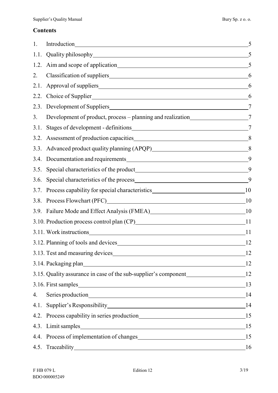# **Contents**

| 1.   | Introduction has a series of the series of the series of the series of the series of the series of the series of the series of the series of the series of the series of the series of the series of the series of the series | 5  |
|------|-------------------------------------------------------------------------------------------------------------------------------------------------------------------------------------------------------------------------------|----|
| 1.1. |                                                                                                                                                                                                                               |    |
| 1.2. |                                                                                                                                                                                                                               | 5  |
| 2.   |                                                                                                                                                                                                                               | 6  |
| 2.1. |                                                                                                                                                                                                                               | 6  |
| 2.2. |                                                                                                                                                                                                                               | 6  |
| 2.3. |                                                                                                                                                                                                                               | 7  |
| 3.   | Development of product, process – planning and realization<br>7                                                                                                                                                               |    |
| 3.1. |                                                                                                                                                                                                                               |    |
| 3.2. |                                                                                                                                                                                                                               | 8  |
| 3.3. | Advanced product quality planning (APQP)<br>8                                                                                                                                                                                 |    |
| 3.4. |                                                                                                                                                                                                                               | 9  |
| 3.5. |                                                                                                                                                                                                                               | 9  |
| 3.6. |                                                                                                                                                                                                                               | 9  |
| 3.7. |                                                                                                                                                                                                                               |    |
| 3.8. | Process Flowchart (PFC) 10                                                                                                                                                                                                    |    |
| 3.9. | Failure Mode and Effect Analysis (FMEA) 10                                                                                                                                                                                    |    |
|      | 3.10. Production process control plan (CP) 11                                                                                                                                                                                 |    |
|      |                                                                                                                                                                                                                               |    |
|      |                                                                                                                                                                                                                               | 12 |
|      |                                                                                                                                                                                                                               | 12 |
|      |                                                                                                                                                                                                                               |    |
|      | 3.15. Quality assurance in case of the sub-supplier's component___________________12                                                                                                                                          |    |
|      |                                                                                                                                                                                                                               |    |
| 4.   | Series production 14                                                                                                                                                                                                          |    |
| 4.1. | Supplier's Responsibility 14                                                                                                                                                                                                  |    |
|      |                                                                                                                                                                                                                               |    |
|      | 4.3. Limit samples 15                                                                                                                                                                                                         |    |
|      | 4.4. Process of implementation of changes 15                                                                                                                                                                                  |    |
| 4.5. |                                                                                                                                                                                                                               |    |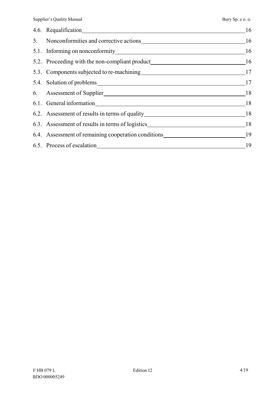|                                                                                     | 16 |
|-------------------------------------------------------------------------------------|----|
| 5. Nonconformities and corrective actions 16                                        |    |
|                                                                                     |    |
| 5.2. Proceeding with the non-compliant product___________________________________16 |    |
|                                                                                     |    |
|                                                                                     |    |
|                                                                                     |    |
|                                                                                     | 18 |
|                                                                                     |    |
|                                                                                     |    |
|                                                                                     |    |
| 6.5. Process of escalation 19                                                       |    |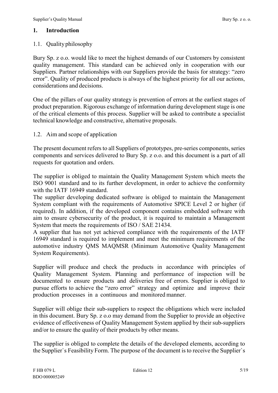#### **1. Introduction**

#### 1.1. Quality philosophy

Bury Sp. z o.o. would like to meet the highest demands of our Customers by consistent quality management. This standard can be achieved only in cooperation with our Suppliers. Partner relationships with our Suppliers provide the basis for strategy: "zero error". Quality of produced products is always of the highest priority for all our actions, considerations and decisions.

One of the pillars of our quality strategy is prevention of errors at the earliest stages of product preparation. Rigorous exchange of information during development stage is one of the critical elements of this process. Supplier will be asked to contribute a specialist technical knowledge and constructive, alternative proposals.

1.2. Aim and scope of application

The present document refers to all Suppliers of prototypes, pre-series components, series components and services delivered to Bury Sp. z o.o. and this document is a part of all requests for quotation and orders.

The supplier is obliged to maintain the Quality Management System which meets the ISO 9001 standard and to its further development, in order to achieve the conformity with the IATF 16949 standard.

The supplier developing dedicated software is obliged to maintain the Management System compliant with the requirements of Automotive SPICE Level 2 or higher (if required). In addition, if the developed component contains embedded software with aim to ensure cybersecurity of the product, it is required to maintain a Management System that meets the requirements of ISO / SAE 21434.

A supplier that has not yet achieved compliance with the requirements of the IATF 16949 standard is required to implement and meet the minimum requirements of the automotive industry QMS MAQMSR (Minimum Automotive Quality Management System Requirements).

Supplier will produce and check the products in accordance with principles of Quality Management System. Planning and performance of inspection will be documented to ensure products and deliveries free of errors. Supplier is obliged to pursue efforts to achieve the "zero error" strategy and optimize and improve their production processes in a continuous and monitored manner.

Supplier will oblige their sub-suppliers to respect the obligations which were included in this document. Bury Sp. z o.o may demand from the Supplier to provide an objective evidence of effectiveness of Quality Management System applied by their sub-suppliers and/or to ensure the quality of their products by other means.

The supplier is obliged to complete the details of the developed elements, according to the Supplier's Feasibility Form. The purpose of the document is to receive the Supplier's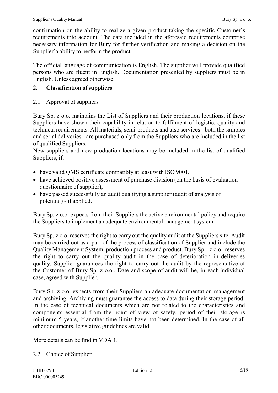confirmation on the ability to realize a given product taking the specific Customer`s requirements into account. The data included in the aforesaid requirements comprise necessary information for Bury for further verification and making a decision on the Supplier`a ability to perform the product.

The official language of communication is English. The supplier will provide qualified persons who are fluent in English. Documentation presented by suppliers must be in English. Unless agreed otherwise.

# **2. Classification ofsuppliers**

# 2.1. Approval of suppliers

Bury Sp. z o.o. maintains the List of Suppliers and their production locations, if these Suppliers have shown their capability in relation to fulfilment of logistic, quality and technical requirements. All materials, semi-products and also services - both the samples and serial deliveries - are purchased only from the Suppliers who are included in the list of qualified Suppliers.

New suppliers and new production locations may be included in the list of qualified Suppliers, if:

- have valid QMS certificate compatibly at least with ISO 9001,
- have achieved positive assessment of purchase division (on the basis of evaluation questionnaire of supplier),
- have passed successfully an audit qualifying a supplier (audit of analysis of potential) - if applied.

Bury Sp. z o.o. expects from their Suppliers the active environmental policy and require the Suppliers to implement an adequate environmental management system.

Bury Sp. z o.o. reserves the right to carry out the quality audit at the Suppliers site. Audit may be carried out as a part of the process of classification of Supplier and include the Quality Management System, production process and product. Bury Sp. z o.o. reserves the right to carry out the quality audit in the case of deterioration in deliveries quality. Supplier guarantees the right to carry out the audit by the representative of the Customer of Bury Sp. z o.o.. Date and scope of audit will be, in each individual case, agreed with Supplier.

Bury Sp. z o.o. expects from their Suppliers an adequate documentation management and archiving. Archiving must guarantee the access to data during their storage period. In the case of technical documents which are not related to the characteristics and components essential from the point of view of safety, period of their storage is minimum 5 years, if another time limits have not been determined. In the case of all other documents, legislative guidelines are valid.

More details can be find in VDA 1.

2.2. Choice of Supplier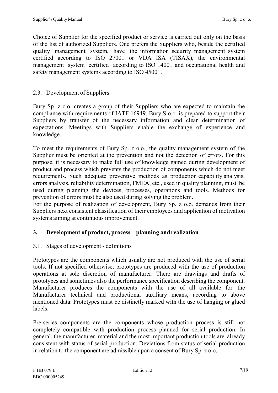Choice of Supplier for the specified product or service is carried out only on the basis of the list of authorized Suppliers. One prefers the Suppliers who, beside the certified quality management system, have the information security management system certified according to ISO 27001 or VDA ISA (TISAX), the environmental management system certified according to ISO 14001 and occupational health and safety management systems according to ISO 45001.

## 2.3. Development of Suppliers

Bury Sp. z o.o. creates a group of their Suppliers who are expected to maintain the compliance with requirements of IATF 16949. Bury S o.o. is prepared to support their Suppliers by transfer of the necessary information and clear determination of expectations. Meetings with Suppliers enable the exchange of experience and knowledge.

To meet the requirements of Bury Sp. z o.o., the quality management system of the Supplier must be oriented at the prevention and not the detection of errors. For this purpose, it is necessary to make full use of knowledge gained during development of product and process which prevents the production of components which do not meet requirements. Such adequate preventive methods as production capability analysis, errors analysis, reliability determination, FMEA, etc., used in quality planning, must be used during planning the devices, processes, operations and tools. Methods for prevention of errors must be also used during solving the problem.

For the purpose of realization of development, Bury Sp. z o.o. demands from their Suppliers next consistent classification of their employees and application of motivation systems aiming at continuous improvement.

# **3. Development of product, process – planning andrealization**

#### 3.1. Stages of development - definitions

Prototypes are the components which usually are not produced with the use of serial tools. If not specified otherwise, prototypes are produced with the use of production operations at sole discretion of manufacturer. There are drawings and drafts of prototypes and sometimes also the performance specification describing the component. Manufacturer produces the components with the use of all available for the Manufacturer technical and productional auxiliary means, according to above mentioned data. Prototypes must be distinctly marked with the use of hanging or glued labels.

Pre-series components are the components whose production process is still not completely compatible with production process planned for serial production. In general, the manufacturer, material and the most important production tools are already consistent with status of serial production. Deviations from status of serial production in relation to the component are admissible upon a consent of Bury Sp. z o.o.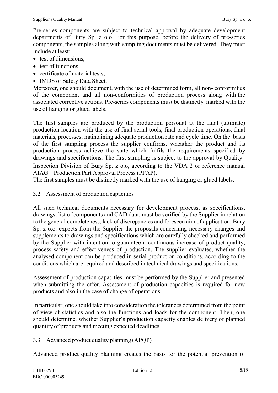Pre-series components are subject to technical approval by adequate development departments of Bury Sp. z o.o. For this purpose, before the delivery of pre-series components, the samples along with sampling documents must be delivered. They must include at least:

- test of dimensions.
- test of functions,
- certificate of material tests,
- IMDS or Safety Data Sheet.

Moreover, one should document, with the use of determined form, all non- conformities of the component and all non-conformities of production process along with the associated corrective actions. Pre-series components must be distinctly marked with the use of hanging or glued labels.

The first samples are produced by the production personal at the final (ultimate) production location with the use of final serial tools, final production operations, final materials, processes, maintaining adequate production rate and cycle time. On the basis of the first sampling process the supplier confirms, wheather the product and its production process achieve the state which fulfils the requirements specified by drawings and specifications. The first sampling is subject to the approval by Quality Inspection Division of Bury Sp. z o.o, according to the VDA 2 or reference manual AIAG – Production Part Approval Process (PPAP).

The first samples must be distinctly marked with the use of hanging or glued labels.

3.2. Assessment of production capacities

All such technical documents necessary for development process, as specifications, drawings, list of components and CAD data, must be verified by the Supplier in relation to the general completeness, lack of discrepancies and foreseen aim of application. Bury Sp. z o.o. expects from the Supplier the proposals concerning necessary changes and supplements to drawings and specifications which are carefully checked and performed by the Supplier with intention to guarantee a continuous increase of product quality, process safety and effectiveness of production. The supplier evaluates, whether the analysed component can be produced in serial production conditions, according to the conditions which are required and described in technical drawings and specifications.

Assessment of production capacities must be performed by the Supplier and presented when submitting the offer. Assessment of production capacities is required for new products and also in the case of change of operations.

In particular, one should take into consideration the tolerances determined from the point of view of statistics and also the functions and loads for the component. Then, one should determine, whether Supplier's production capacity enables delivery of planned quantity of products and meeting expected deadlines.

3.3. Advanced product quality planning (APQP)

Advanced product quality planning creates the basis for the potential prevention of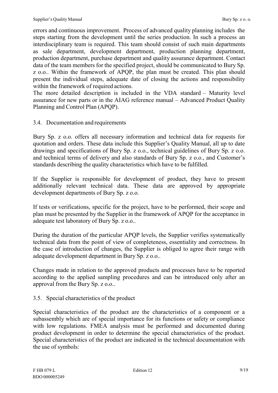errors and continuous improvement. Process of advanced quality planning includes the steps starting from the development until the series production. In such a process an interdisciplinary team is required. This team should consist of such main departments as sale department, development department, production planning department, production department, purchase department and quality assurance department. Contact data of the team members for the specified project, should be communicated to Bury Sp. z o.o.. Within the framework of APQP, the plan must be created. This plan should present the individual steps, adequate date of closing the actions and responsibility within the framework of required actions.

The more detailed description is included in the VDA standard – Maturity level assurance for new parts or in the AIAG reference manual – Advanced Product Quality Planning and Control Plan (APQP).

#### 3.4. Documentation and requirements

Bury Sp. z o.o. offers all necessary information and technical data for requests for quotation and orders. These data include this Supplier's Quality Manual, all up to date drawings and specifications of Bury Sp. z o.o., technical guidelines of Bury Sp. z o.o. and technical terms of delivery and also standards of Bury Sp. z o.o., and Customer's standards describing the quality characteristics which have to be fulfilled.

If the Supplier is responsible for development of product, they have to present additionally relevant technical data. These data are approved by appropriate development departments of Bury Sp. z o.o.

If tests or verifications, specific for the project, have to be performed, their scope and plan must be presented by the Supplier in the framework of APQP for the acceptance in adequate test laboratory of Bury Sp. z o.o..

During the duration of the particular APQP levels, the Supplier verifies systematically technical data from the point of view of completeness, essentiality and correctness. In the case of introduction of changes, the Supplier is obliged to agree their range with adequate development department in Bury Sp. z o.o..

Changes made in relation to the approved products and processes have to be reported according to the applied sampling procedures and can be introduced only after an approval from the Bury Sp. z o.o..

3.5. Special characteristics of the product

Special characteristics of the product are the characteristics of a component or a subassembly which are of special importance for its functions or safety or compliance with low regulations. FMEA analysis must be performed and documented during product development in order to determine the special characteristics of the product. Special characteristics of the product are indicated in the technical documentation with the use of symbols: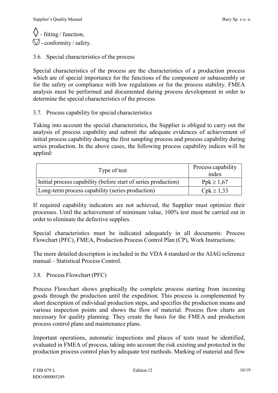$\langle \rangle$  - fitting / function,  $\bigcirc$  - conformity / safety.

3.6. Special characteristics of the process

Special characteristics of the process are the characteristics of a production process which are of special importance for the functions of the component or subassembly or for the safety or compliance with low regulations or for the process stability. FMEA analysis must be performed and documented during process development in order to determine the special characteristics of the process.

3.7. Process capability for special characteristics

Taking into account the special characteristics, the Supplier is obliged to carry out the analysis of process capability and submit the adequate evidences of achievement of initial process capability during the first sampling process and process capability during series production. In the above cases, the following process capability indices will be applied:

| Type of test                                                   | Process capability<br>index |
|----------------------------------------------------------------|-----------------------------|
| Initial process capability (before start of series production) | $Ppk \ge 1,67$              |
| Long-term process capability (series production)               | $Cpk \ge 1,33$              |

If required capability indicators are not achieved, the Supplier must optimize their processes. Until the achievement of minimum value, 100% test must be carried out in order to eliminate the defective supplies.

Special characteristics must be indicated adequately in all documents: Process Flowchart (PFC), FMEA, Production Process Control Plan (CP), Work Instructions.

The more detailed description is included in the VDA 4 standard or the AIAG reference manual – Statistical Process Control.

#### 3.8. Process Flowchart (PFC)

Process Flowchart shows graphically the complete process starting from incoming goods through the production until the expedition. This process is complemented by short description of individual production steps, and specifies the production means and various inspection points and shows the flow of material. Process flow charts are necessary for quality planning. They create the basis for the FMEA and production process control plans and maintenance plans.

Important operations, automatic inspections and places of tests must be identified, evaluated in FMEA of process, taking into account the risk existing and protected in the production process control plan by adequate test methods. Marking of material and flow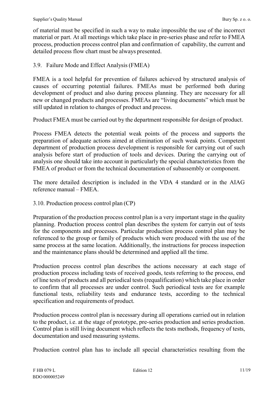of material must be specified in such a way to make impossible the use of the incorrect material or part. At all meetings which take place in pre-series phase and refer to FMEA process, production process control plan and confirmation of capability, the current and detailed process flow chart must be always presented.

#### 3.9. Failure Mode and Effect Analysis (FMEA)

FMEA is a tool helpful for prevention of failures achieved by structured analysis of causes of occurring potential failures. FMEAs must be performed both during development of product and also during process planning. They are necessary for all new or changed products and processes. FMEAs are "living documents" which must be still updated in relation to changes of product and process.

Product FMEA must be carried out by the department responsible for design of product.

Process FMEA detects the potential weak points of the process and supports the preparation of adequate actions aimed at elimination of such weak points. Competent department of production process development is responsible for carrying out of such analysis before start of production of tools and devices. During the carrying out of analysis one should take into account in particularly the special characteristics from the FMEA of product or from the technical documentation of subassembly or component.

The more detailed description is included in the VDA 4 standard or in the AIAG reference manual – FMEA.

3.10. Production process control plan (CP)

Preparation of the production process control plan is a very important stage in the quality planning. Production process control plan describes the system for carryin out of tests for the components and processes. Particular production process control plan may be referenced to the group or family of products which were produced with the use of the same process at the same location. Additionally, the instructions for process inspection and the maintenance plans should be determined and applied all the time.

Production process control plan describes the actions necessary at each stage of production process including tests of received goods, tests referring to the process, end of line tests of products and all periodical tests(requalification) which take place in order to confirm that all processes are under control. Such periodical tests are for example functional tests, reliability tests and endurance tests, according to the technical specification and requirements of product.

Production process control plan is necessary during all operations carried out in relation to the product, i.e. at the stage of prototype, pre-series production and series production. Control plan is still living document which reflects the tests methods, frequency of tests, documentation and used measuring systems.

Production control plan has to include all special characteristics resulting from the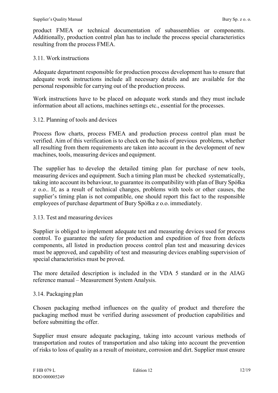product FMEA or technical documentation of subassemblies or components. Additionally, production control plan has to include the process special characteristics resulting from the process FMEA.

#### 3.11. Work instructions

Adequate department responsible for production process development has to ensure that adequate work instructions include all necessary details and are available for the personal responsible for carrying out of the production process.

Work instructions have to be placed on adequate work stands and they must include information about all actions, machines settings etc., essential for the processes.

#### 3.12. Planning of tools and devices

Process flow charts, process FMEA and production process control plan must be verified. Aim of this verification is to check on the basis of previous problems, whether all resulting from them requirements are taken into account in the development of new machines, tools, measuring devices and equipment.

The supplier has to develop the detailed timing plan for purchase of new tools, measuring devices and equipment. Such a timing plan must be checked systematically, taking into account its behaviour, to guarantee its compatibility with plan of Bury Spółka z o.o.. If, as a result of technical changes, problems with tools or other causes, the supplier's timing plan is not compatible, one should report this fact to the responsible employees of purchase department of Bury Spółka z o.o. immediately.

#### 3.13. Test and measuring devices

Supplier is obliged to implement adequate test and measuring devices used for process control. To guarantee the safety for production and expedition of free from defects components, all listed in production process control plan test and measuring devices must be approved, and capability of test and measuring devices enabling supervision of special characteristics must be proved.

The more detailed description is included in the VDA 5 standard or in the AIAG reference manual – Measurement System Analysis.

#### 3.14. Packaging plan

Chosen packaging method influences on the quality of product and therefore the packaging method must be verified during assessment of production capabilities and before submitting the offer.

Supplier must ensure adequate packaging, taking into account various methods of transportation and routes of transportation and also taking into account the prevention of risks to loss of quality as a result of moisture, corrosion and dirt. Supplier must ensure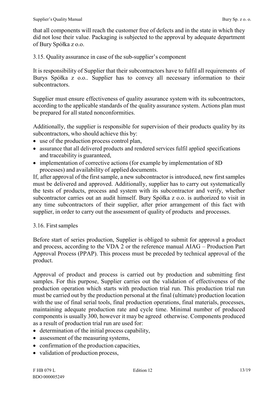that all components will reach the customer free of defects and in the state in which they did not lose their value. Packaging is subjected to the approval by adequate department of Bury Spółka z o.o.

3.15. Quality assurance in case of the sub-supplier's component

It is responsibility of Supplier that their subcontractors have to fulfil all requirements of Burys Spółka z o.o.. Supplier has to convey all necessary information to their subcontractors.

Supplier must ensure effectiveness of quality assurance system with its subcontractors, according to the applicable standards of the quality assurance system. Actions plan must be prepared for all stated nonconformities.

Additionally, the supplier is responsible for supervision of their products quality by its subcontractors, who should achieve this by:

- use of the production process control plan,
- assurance that all delivered products and rendered services fulfil applied specifications and traceability is guaranteed,
- implementation of corrective actions (for example by implementation of 8D) processes) and availability of applied documents.

If, after approval of the first sample, a new subcontractor is introduced, new first samples must be delivered and approved. Additionally, supplier has to carry out systematically the tests of products, process and system with its subcontractor and verify, whether subcontractor carries out an audit himself. Bury Spółka z o.o. is authorized to visit in any time subcontractors of their supplier, after prior arrangement of this fact with supplier, in order to carry out the assessment of quality of products and processes.

#### 3.16. First samples

Before start of series production, Supplier is obliged to submit for approval a product and process, according to the VDA 2 or the reference manual AIAG – Production Part Approval Process (PPAP). This process must be preceded by technical approval of the product.

Approval of product and process is carried out by production and submitting first samples. For this purpose, Supplier carries out the validation of effectiveness of the production operation which starts with production trial run. This production trial run must be carried out by the production personal at the final (ultimate) production location with the use of final serial tools, final production operations, final materials, processes, maintaining adequate production rate and cycle time. Minimal number of produced components is usually 300, however it may be agreed otherwise. Components produced as a result of production trial run are used for:

- determination of the initial process capability,
- assessment of the measuring systems,
- confirmation of the production capacities,
- validation of production process,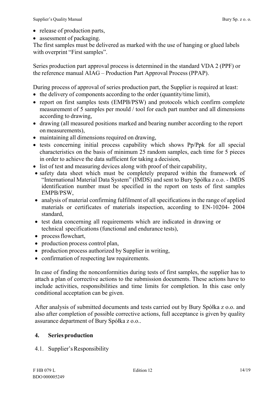- release of production parts,
- assessment of packaging.

The first samples must be delivered as marked with the use of hanging or glued labels with overprint "First samples".

Series production part approval process is determined in the standard VDA 2 (PPF) or the reference manual AIAG – Production Part Approval Process (PPAP).

During process of approval of series production part, the Supplier is required at least:

- the delivery of components according to the order (quantity/time limit),
- report on first samples tests (EMPB/PSW) and protocols which confirm complete measurement of 5 samples per mould / tool for each part number and all dimensions according to drawing,
- drawing (all measured positions marked and bearing number according to the report on measurements),
- maintaining all dimensions required on drawing,
- tests concerning initial process capability which shows Pp/Ppk for all special characteristics on the basis of minimum 25 random samples, each time for 5 pieces in order to achieve the data sufficient for taking a decision,
- list of test and measuring devices along with proof of their capability,
- safety data sheet which must be completely prepared within the framework of "International Material Data System" (IMDS) and sent to Bury Spółka z o.o. - IMDS identification number must be specified in the report on tests of first samples EMPB/PSW,
- analysis of material confirming fulfilment of all specifications in the range of applied materials or certificates of materials inspection, according to EN-10204- 2004 standard,
- test data concerning all requirements which are indicated in drawing or technical specifications (functional and endurance tests),
- process flowchart,
- production process control plan,
- production process authorized by Supplier in writing,
- confirmation of respecting law requirements.

In case of finding the nonconformities during tests of first samples, the supplier has to attach a plan of corrective actions to the submission documents. These actions have to include activities, responsibilities and time limits for completion. In this case only conditional acceptation can be given.

After analysis of submitted documents and tests carried out by Bury Spółka z o.o. and also after completion of possible corrective actions, full acceptance is given by quality assurance department of Bury Spółka z o.o..

# **4. Series production**

4.1. Supplier'sResponsibility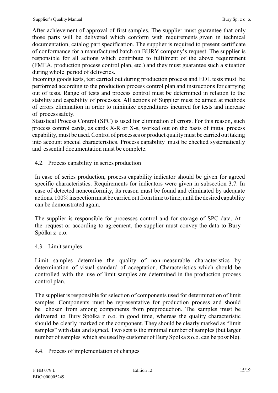After achievement of approval of first samples, The supplier must guarantee that only those parts will be delivered which conform with requirements given in technical documentation, catalog part specification. The supplier is required to present certificate of conformance for a manufactured batch on BURY company's request. The supplier is responsible for all actions which contribute to fulfilment of the above requirement (FMEA, production process control plan, etc.) and they must guarantee such a situation during whole period of deliveries.

Incoming goods tests, test carried out during production process and EOL tests must be performed according to the production process control plan and instructions for carrying out of tests. Range of tests and process control must be determined in relation to the stability and capability of processes. All actions of Supplier must be aimed at methods of errors elimination in order to minimize expenditures incurred for tests and increase of process safety.

Statistical Process Control (SPC) is used for elimination of errors. For this reason, such process control cards, as cards X-R or X-s, worked out on the basis of initial process capability, must be used.Control of processes or product qualitymust be carried out taking into account special characteristics. Process capability must be checked systematically and essential documentation must be complete.

4.2. Process capability in series production

In case of series production, process capability indicator should be given for agreed specific characteristics. Requirements for indicators were given in subsection 3.7. In case of detected nonconformity, its reason must be found and eliminated by adequate actions. 100% inspection must be carried out from time to time, until the desired capability can be demonstrated again.

The supplier is responsible for processes control and for storage of SPC data. At the request or according to agreement, the supplier must convey the data to Bury Spółka z o.o.

# 4.3. Limitsamples

Limit samples determine the quality of non-measurable characteristics by determination of visual standard of acceptation. Characteristics which should be controlled with the use of limit samples are determined in the production process control plan.

The supplier is responsible for selection of components used for determination of limit samples. Components must be representative for production process and should be chosen from among components from preproduction. The samples must be delivered to Bury Spółka z o.o. in good time, whereas the quality characteristic should be clearly marked on the component. They should be clearly marked as "limit samples" with data and signed. Two sets is the minimal number of samples (but larger number of samples which are used by customer of Bury Spółka z o.o. can be possible).

# 4.4. Process of implementation of changes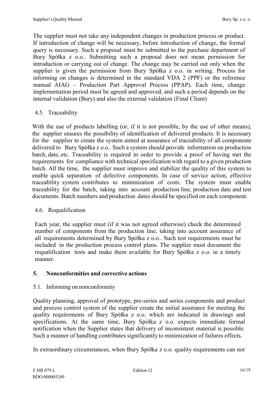The supplier must not take any independent changes in production process or product. If introduction of change will be necessary, before introduction of change, the formal query is necessary. Such a proposal must be submitted to the purchase department of Bury Spółka z o.o.. Submitting such a proposal does not mean permission for introduction or carrying out of change. The change may be carried out only when the supplier is given the permission from Bury Spółka z o.o. in writing. Process for informing on changes is determined in the standard VDA 2 (PPF) or the reference manual AIAG – Production Part Approval Process (PPAP). Each time, change implementation period must be agreed and approved, and such a period depends on the internal validation (Bury) and also the external validation (Final Client)

#### 4.5. Traceability

With the use of products labelling (or, if it is not possible, by the use of other means), the supplier ensures the possibility of identification of delivered products. It is necessary for the supplier to create the system aimed at assurance of traceability of all components delivered to Bury Spółka z o.o.. Such a system should provide information on production batch, date, etc. Traceability is required in order to provide a proof of having met the requirements for compliance with technical specification with regard to a given production batch. All the time, the supplier must improve and stabilize the quality of this system to enable quick separation of defective components. In case of service action, effective traceability system contributes to minimization of costs. The system must enable traceability for the batch, taking into account production line, production date and test documents. Batch numbers and production dates should be specified on each component.

#### 4.6. Requalification

Each year, the supplier must (if it was not agreed otherwise) check the determined number of components from the production line, taking into account assurance of all requirements determined by Bury Spółka z o.o.. Such test requirements must be included in the production process control plans. The supplier must document the requalification tests and make them available for Bury Spółka z o.o. in a timely manner.

# **5. Nonconformities and corrective actions**

#### 5.1. Informing on nonconformity

Quality planning, approval of prototype, pre-series and series components and product and process control system of the supplier create the initial assurance for meeting the quality requirements of Bury Spółka z o.o. which are indicated in drawings and specifications. At the same time, Bury Spółka z o.o. expects immediate formal notification when the Supplier states that delivery of inconsistent material is possible. Such a manner of handling contributes significantly to minimization of failures effects.

In extraordinary circumstances, when Bury Spółka z o.o. quality requirements can not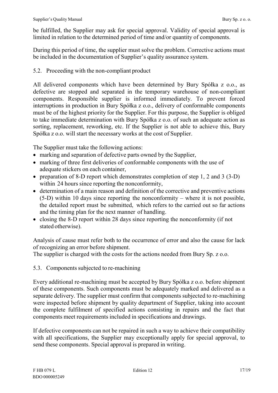be fulfilled, the Supplier may ask for special approval. Validity of special approval is limited in relation to the determined period of time and/or quantity of components.

During this period of time, the supplier must solve the problem. Corrective actions must be included in the documentation of Supplier's quality assurance system.

## 5.2. Proceeding with the non-compliant product

All delivered components which have been determined by Bury Spółka z o.o., as defective are stopped and separated in the temporary warehouse of non-compliant components. Responsible supplier is informed immediately. To prevent forced interruptions in production in Bury Spółka z o.o., delivery of conformable components must be of the highest priority for the Supplier. For this purpose, the Supplier is obliged to take immediate determination with Bury Spółka z o.o. of such an adequate action as sorting, replacement, reworking, etc. If the Supplier is not able to achieve this, Bury Spółka z o.o. will start the necessary works at the cost of Supplier.

The Supplier must take the following actions:

- marking and separation of defective parts owned by the Supplier,
- marking of three first deliveries of conformable components with the use of adequate stickers on each container,
- preparation of 8-D report which demonstrates completion of step 1, 2 and 3 (3-D) within 24 hours since reporting the nonconformity,
- determination of a main reason and definition of the corrective and preventive actions (5-D) within 10 days since reporting the nonconformity – where it is not possible, the detailed report must be submitted, which refers to the carried out so far actions and the timing plan for the next manner of handling.
- closing the 8-D report within 28 days since reporting the nonconformity (if not stated otherwise).

Analysis of cause must refer both to the occurrence of error and also the cause for lack of recognizing an error before shipment.

The supplier is charged with the costs for the actions needed from Bury Sp. z o.o.

5.3. Components subjected to re-machining

Every additional re-machining must be accepted by Bury Spółka z o.o. before shipment of these components. Such components must be adequately marked and delivered as a separate delivery. The supplier must confirm that components subjected to re-machining were inspected before shipment by quality department of Supplier, taking into account the complete fulfilment of specified actions consisting in repairs and the fact that components meet requirements included in specifications and drawings.

If defective components can not be repaired in such a way to achieve their compatibility with all specifications, the Supplier may exceptionally apply for special approval, to send these components. Special approval is prepared in writing.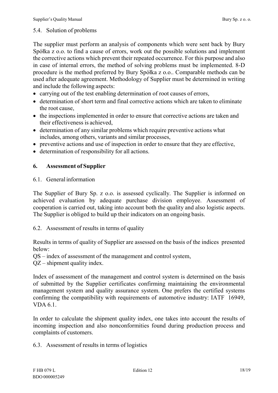#### 5.4. Solution of problems

The supplier must perform an analysis of components which were sent back by Bury Spółka z o.o. to find a cause of errors, work out the possible solutions and implement the corrective actions which prevent their repeated occurrence. For this purpose and also in case of internal errors, the method of solving problems must be implemented. 8-D procedure is the method preferred by Bury Spółka z o.o.. Comparable methods can be used after adequate agreement. Methodology of Supplier must be determined in writing and include the following aspects:

- carrying out of the test enabling determination of root causes of errors,
- determination of short term and final corrective actions which are taken to eliminate the root cause,
- the inspections implemented in order to ensure that corrective actions are taken and their effectiveness is achieved,
- determination of any similar problems which require preventive actions what includes, among others, variants and similar processes,
- preventive actions and use of inspection in order to ensure that they are effective,
- determination of responsibility for all actions.

#### **6. Assessment of Supplier**

#### 6.1. General information

The Supplier of Bury Sp. z o.o. is assessed cyclically. The Supplier is informed on achieved evaluation by adequate purchase division employee. Assessment of cooperation is carried out, taking into account both the quality and also logistic aspects. The Supplier is obliged to build up their indicators on an ongoing basis.

6.2. Assessment of results in terms of quality

Results in terms of quality of Supplier are assessed on the basis of the indices presented below:

QS – index of assessment of the management and control system,

QZ – shipment quality index.

Index of assessment of the management and control system is determined on the basis of submitted by the Supplier certificates confirming maintaining the environmental management system and quality assurance system. One prefers the certified systems confirming the compatibility with requirements of automotive industry: IATF 16949, VDA 6.1.

In order to calculate the shipment quality index, one takes into account the results of incoming inspection and also nonconformities found during production process and complaints of customers.

6.3. Assessment of results in terms of logistics